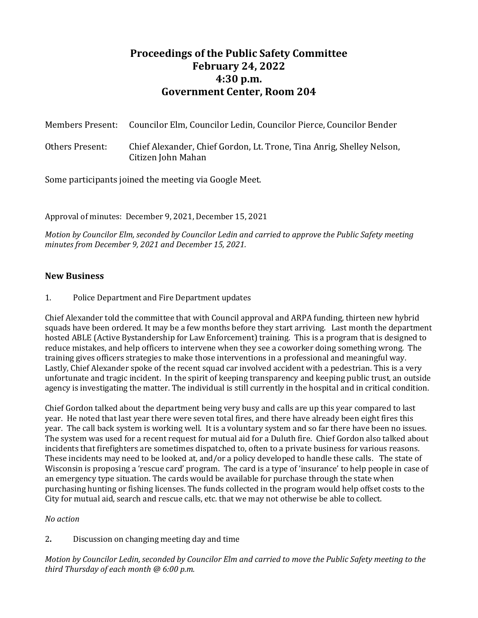## **Proceedings of the Public Safety Committee February 24, 2022 4:30 p.m. Government Center, Room 204**

| Members Present: | Councilor Elm, Councilor Ledin, Councilor Pierce, Councilor Bender                          |
|------------------|---------------------------------------------------------------------------------------------|
| Others Present:  | Chief Alexander, Chief Gordon, Lt. Trone, Tina Anrig, Shelley Nelson,<br>Citizen John Mahan |

Some participants joined the meeting via Google Meet.

Approval of minutes: December 9, 2021, December 15, 2021

*Motion by Councilor Elm, seconded by Councilor Ledin and carried to approve the Public Safety meeting minutes from December 9, 2021 and December 15, 2021.*

## **New Business**

1. Police Department and Fire Department updates

Chief Alexander told the committee that with Council approval and ARPA funding, thirteen new hybrid squads have been ordered. It may be a few months before they start arriving. Last month the department hosted ABLE (Active Bystandership for Law Enforcement) training. This is a program that is designed to reduce mistakes, and help officers to intervene when they see a coworker doing something wrong. The training gives officers strategies to make those interventions in a professional and meaningful way. Lastly, Chief Alexander spoke of the recent squad car involved accident with a pedestrian. This is a very unfortunate and tragic incident. In the spirit of keeping transparency and keeping public trust, an outside agency is investigating the matter. The individual is still currently in the hospital and in critical condition.

Chief Gordon talked about the department being very busy and calls are up this year compared to last year. He noted that last year there were seven total fires, and there have already been eight fires this year. The call back system is working well. It is a voluntary system and so far there have been no issues. The system was used for a recent request for mutual aid for a Duluth fire. Chief Gordon also talked about incidents that firefighters are sometimes dispatched to, often to a private business for various reasons. These incidents may need to be looked at, and/or a policy developed to handle these calls. The state of Wisconsin is proposing a 'rescue card' program. The card is a type of 'insurance' to help people in case of an emergency type situation. The cards would be available for purchase through the state when purchasing hunting or fishing licenses. The funds collected in the program would help offset costs to the City for mutual aid, search and rescue calls, etc. that we may not otherwise be able to collect.

*No action*

2**.** Discussion on changing meeting day and time

*Motion by Councilor Ledin, seconded by Councilor Elm and carried to move the Public Safety meeting to the third Thursday of each month @ 6:00 p.m.*